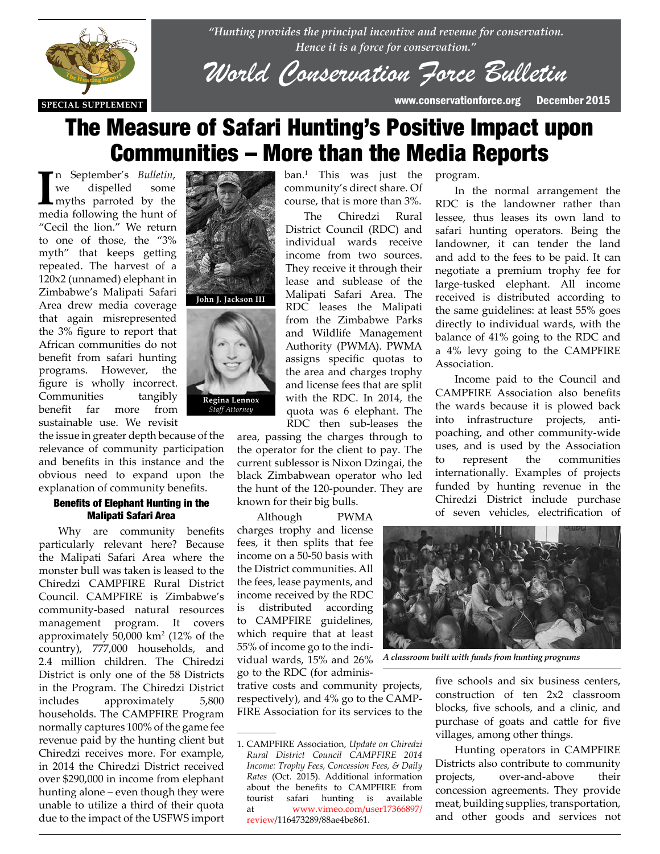

*"Hunting provides the principal incentive and revenue for conservation. Hence it is a force for conservation."*

*World Conservation Force Bulletin*

# The Measure of Safari Hunting's Positive Impact upon Communities – More than the Media Reports

**I**m September's *Bulletin*,<br>
we dispelled some<br>
myths parroted by the<br>
media following the hunt of n September's *Bulletin*, we dispelled some myths parroted by the "Cecil the lion." We return to one of those, the "3% myth" that keeps getting repeated. The harvest of a 120x2 (unnamed) elephant in Zimbabwe's Malipati Safari Area drew media coverage that again misrepresented the 3% figure to report that African communities do not<br>benefit from safari hunting benefit from safari hunting programs. However, the figure is wholly incorrect.<br> **Communities** tangibly Communities tangibly benefit far more from sustainable use. We revisit

the issue in greater depth because of the relevance of community participation and benefits in this instance and the obvious need to expand upon the explanation of community benefits.

### Benefits of Elephant Hunting in the Malipati Safari Area

Why are community benefits particularly relevant here? Because the Malipati Safari Area where the monster bull was taken is leased to the Chiredzi CAMPFIRE Rural District Council. CAMPFIRE is Zimbabwe's community-based natural resources management program. It covers approximately 50,000 km2 (12% of the country), 777,000 households, and 2.4 million children. The Chiredzi District is only one of the 58 Districts in the Program. The Chiredzi District includes approximately 5,800 households. The CAMPFIRE Program normally captures 100% of the game fee revenue paid by the hunting client but Chiredzi receives more. For example, in 2014 the Chiredzi District received over \$290,000 in income from elephant hunting alone – even though they were unable to utilize a third of their quota due to the impact of the USFWS import



ban.1 This was just the community's direct share. Of course, that is more than 3%.

The Chiredzi Rural District Council (RDC) and individual wards receive income from two sources. They receive it through their lease and sublease of the Malipati Safari Area. The RDC leases the Malipati from the Zimbabwe Parks and Wildlife Management Authority (PWMA). PWMA assigns specific quotas to the area and charges trophy and license fees that are split with the RDC. In 2014, the quota was 6 elephant. The RDC then sub-leases the

area, passing the charges through to the operator for the client to pay. The current sublessor is Nixon Dzingai, the black Zimbabwean operator who led the hunt of the 120-pounder. They are known for their big bulls.

Although PWMA charges trophy and license fees, it then splits that fee income on a 50-50 basis with the District communities. All the fees, lease payments, and income received by the RDC is distributed according to CAMPFIRE guidelines, which require that at least 55% of income go to the individual wards, 15% and 26% go to the RDC (for adminis-

trative costs and community projects, respectively), and 4% go to the CAMP-FIRE Association for its services to the program.

In the normal arrangement the RDC is the landowner rather than lessee, thus leases its own land to safari hunting operators. Being the landowner, it can tender the land and add to the fees to be paid. It can negotiate a premium trophy fee for large-tusked elephant. All income received is distributed according to the same guidelines: at least 55% goes directly to individual wards, with the balance of 41% going to the RDC and a 4% levy going to the CAMPFIRE Association.

Income paid to the Council and CAMPFIRE Association also benefits the wards because it is plowed back into infrastructure projects, antipoaching, and other community-wide uses, and is used by the Association to represent the communities internationally. Examples of projects funded by hunting revenue in the Chiredzi District include purchase of seven vehicles, electrification of



*A classroom built with funds from hunting programs*

five schools and six business centers, construction of ten 2x2 classroom blocks, five schools, and a clinic, and purchase of goats and cattle for five villages, among other things.

Hunting operators in CAMPFIRE Districts also contribute to community projects, over-and-above their concession agreements. They provide meat, building supplies, transportation, and other goods and services not

<sup>1.</sup> CAMPFIRE Association, *Update on Chiredzi Rural District Council CAMPFIRE 2014 Income: Trophy Fees, Concession Fees, & Daily Rates* (Oct. 2015). Additional information about the benefits to CAMPFIRE from tourist safari hunting is available at www.vimeo.com/user17366897/ review/116473289/88ae4be861.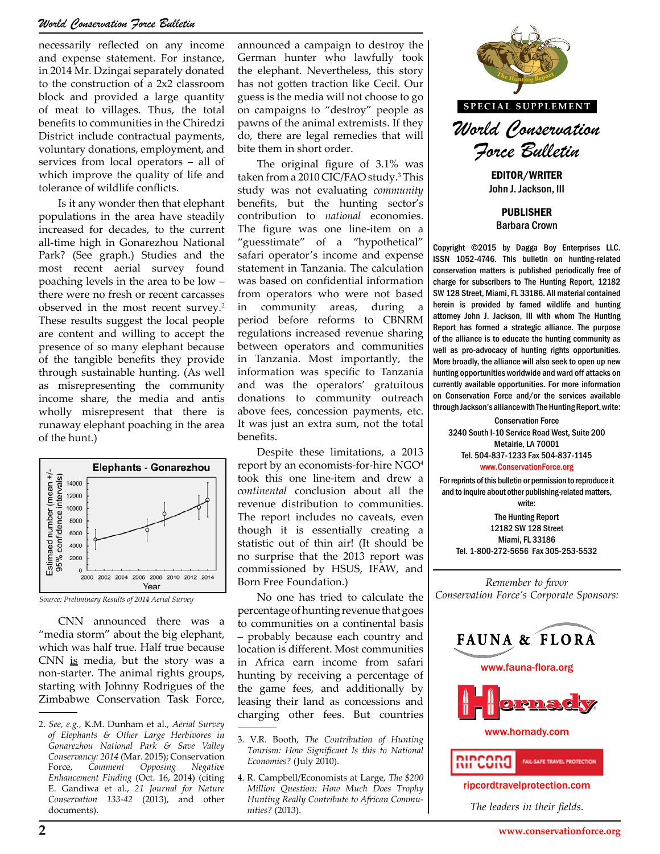## *World Conservation Force Bulletin*

necessarily reflected on any income and expense statement. For instance, in 2014 Mr. Dzingai separately donated to the construction of a 2x2 classroom block and provided a large quantity of meat to villages. Thus, the total benefits to communities in the Chiredzi District include contractual payments, voluntary donations, employment, and services from local operators – all of which improve the quality of life and tolerance of wildlife conflicts.

Is it any wonder then that elephant populations in the area have steadily increased for decades, to the current all-time high in Gonarezhou National Park? (See graph.) Studies and the most recent aerial survey found poaching levels in the area to be low – there were no fresh or recent carcasses observed in the most recent survey.2 These results suggest the local people are content and willing to accept the presence of so many elephant because of the tangible benefits they provide through sustainable hunting. (As well as misrepresenting the community income share, the media and antis wholly misrepresent that there is runaway elephant poaching in the area of the hunt.)



CNN announced there was a "media storm" about the big elephant, which was half true. Half true because CNN is media, but the story was a non-starter. The animal rights groups, starting with Johnny Rodrigues of the Zimbabwe Conservation Task Force,

announced a campaign to destroy the German hunter who lawfully took the elephant. Nevertheless, this story has not gotten traction like Cecil. Our guess is the media will not choose to go on campaigns to "destroy" people as pawns of the animal extremists. If they do, there are legal remedies that will bite them in short order.

The original figure of 3.1% was taken from a 2010 CIC/FAO study.<sup>3</sup> This study was not evaluating *community* benefits, but the hunting sector's contribution to *national* economies. The figure was one line-item on a "guesstimate" of a "hypothetical" safari operator's income and expense statement in Tanzania. The calculation was based on confidential information from operators who were not based in community areas, during period before reforms to CBNRM regulations increased revenue sharing between operators and communities in Tanzania. Most importantly, the information was specific to Tanzania and was the operators' gratuitous donations to community outreach above fees, concession payments, etc. It was just an extra sum, not the total benefits.

Despite these limitations, a 2013 report by an economists-for-hire NGO<sup>4</sup> took this one line-item and drew a *continental* conclusion about all the revenue distribution to communities. The report includes no caveats, even though it is essentially creating a statistic out of thin air! (It should be no surprise that the 2013 report was commissioned by HSUS, IFAW, and Born Free Foundation.)

No one has tried to calculate the percentage of hunting revenue that goes to communities on a continental basis – probably because each country and location is different. Most communities in Africa earn income from safari hunting by receiving a percentage of the game fees, and additionally by leasing their land as concessions and charging other fees. But countries



EDITOR/WRITER John J. Jackson, III

PUBLISHER Barbara Crown

Copyright ©2015 by Dagga Boy Enterprises LLC. ISSN 1052-4746. This bulletin on hunting-related conservation matters is published periodically free of charge for subscribers to The Hunting Report, 12182 SW 128 Street, Miami, FL 33186. All material contained herein is provided by famed wildlife and hunting attorney John J. Jackson, III with whom The Hunting Report has formed a strategic alliance. The purpose of the alliance is to educate the hunting community as well as pro-advocacy of hunting rights opportunities. communities<br>ortantly, the alliance will also seek to open up new hunting opportunities worldwide and ward off attacks on currently available opportunities. For more information ity outreach on Conservation Force and/or the services available<br>payments, etc. through Jackson's alliance with The Hunting Report, write:

> Conservation Force 3240 South I-10 Service Road West, Suite 200 Metairie, LA 70001 Tel. 504-837-1233 Fax 504-837-1145 www.ConservationForce.org

For reprints of this bulletin or permission to reproduce it and to inquire about other publishing-related matters, write:

The Hunting Report 12182 SW 128 Street Miami, FL 33186 Tel. 1-800-272-5656 Fax 305-253-5532

*Remember to favor Conservation Force's Corporate Sponsors:*



www.fauna-flora.org



www.hornady.com



ripcordtravelprotection.com

*The leaders in their fields.*

<sup>2.</sup> *See, e.g.,* K.M. Dunham et al., *Aerial Survey of Elephants & Other Large Herbivores in Gonarezhou National Park & Save Valley Conservancy: 2014* (Mar. 2015); Conservation Force, *Comment Opposing Negative Enhancement Finding* (Oct. 16, 2014) (citing E. Gandiwa et al., *21 Journal for Nature Conservation 133-42* (2013), and other documents).

<sup>3.</sup> V.R. Booth, *The Contribution of Hunting Tourism: How Significant Is this to National Economies?* (July 2010).

<sup>4.</sup> R. Campbell/Economists at Large, *The \$200 Million Question: How Much Does Trophy Hunting Really Contribute to African Communities?* (2013).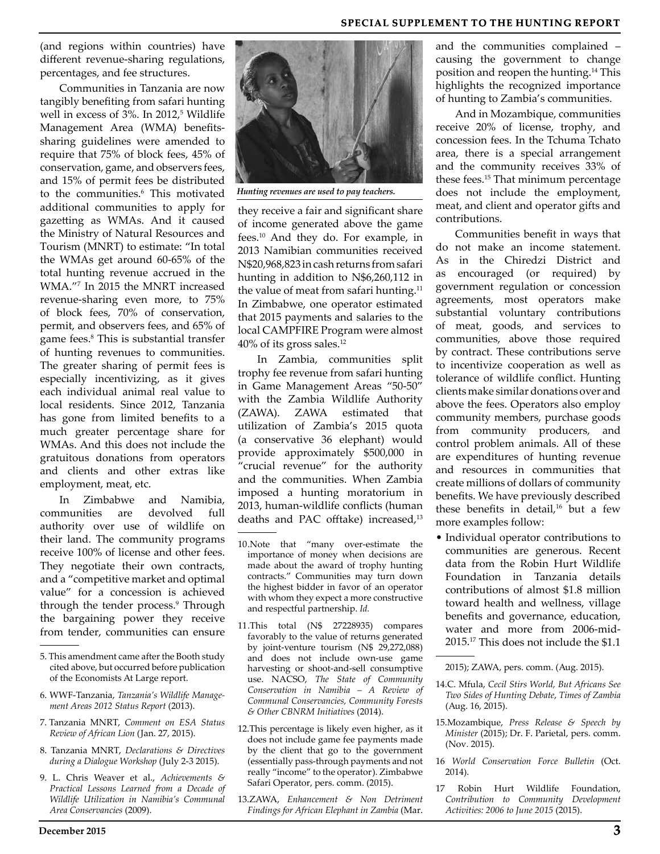#### **SPECIAL SUPPLEMENT TO THE HUNTING REPORT**

(and regions within countries) have different revenue-sharing regulations, percentages, and fee structures.

Communities in Tanzania are now tangibly benefiting from safari hunting well in excess of 3%. In 2012,<sup>5</sup> Wildlife Management Area (WMA) benefitssharing guidelines were amended to require that 75% of block fees, 45% of conservation, game, and observers fees, and 15% of permit fees be distributed to the communities.<sup>6</sup> This motivated additional communities to apply for gazetting as WMAs. And it caused the Ministry of Natural Resources and Tourism (MNRT) to estimate: "In total the WMAs get around 60-65% of the total hunting revenue accrued in the WMA."7 In 2015 the MNRT increased revenue-sharing even more, to 75% of block fees, 70% of conservation, permit, and observers fees, and 65% of game fees.8 This is substantial transfer of hunting revenues to communities. The greater sharing of permit fees is especially incentivizing, as it gives each individual animal real value to local residents. Since 2012, Tanzania has gone from limited benefits to a much greater percentage share for WMAs. And this does not include the gratuitous donations from operators and clients and other extras like employment, meat, etc.

In Zimbabwe and Namibia, communities are devolved full authority over use of wildlife on their land. The community programs receive 100% of license and other fees. They negotiate their own contracts, and a "competitive market and optimal value" for a concession is achieved through the tender process.<sup>9</sup> Through the bargaining power they receive from tender, communities can ensure

- 6. WWF-Tanzania, *Tanzania's Wildlife Management Areas 2012 Status Report* (2013).
- 7. Tanzania MNRT, *Comment on ESA Status Review of African Lion* (Jan. 27, 2015).
- 8. Tanzania MNRT, *Declarations & Directives during a Dialogue Workshop* (July 2-3 2015).
- 9. L. Chris Weaver et al., *Achievements & Practical Lessons Learned from a Decade of Wildlife Utilization in Namibia's Communal Area Conservancies* (2009).



*Hunting revenues are used to pay teachers.*

they receive a fair and significant share of income generated above the game fees.10 And they do. For example, in 2013 Namibian communities received N\$20,968,823 in cash returns from safari hunting in addition to N\$6,260,112 in the value of meat from safari hunting.<sup>11</sup> In Zimbabwe, one operator estimated that 2015 payments and salaries to the local CAMPFIRE Program were almost 40% of its gross sales.12

In Zambia, communities split trophy fee revenue from safari hunting in Game Management Areas "50-50" with the Zambia Wildlife Authority  $(ZAWA)$ .  $ZAWA$  estimated utilization of Zambia's 2015 quota (a conservative 36 elephant) would provide approximately \$500,000 in "crucial revenue" for the authority and the communities. When Zambia imposed a hunting moratorium in 2013, human-wildlife conflicts (human deaths and PAC offtake) increased,<sup>13</sup>

- 10.Note that "many over-estimate the importance of money when decisions are made about the award of trophy hunting contracts." Communities may turn down the highest bidder in favor of an operator with whom they expect a more constructive and respectful partnership. *Id.*
- 11.This total (N\$ 27228935) compares favorably to the value of returns generated by joint-venture tourism (N\$ 29,272,088) and does not include own-use game harvesting or shoot-and-sell consumptive use. NACSO, *The State of Community Conservation in Namibia – A Review of Communal Conservancies, Community Forests & Other CBNRM Initiatives* (2014).
- 12.This percentage is likely even higher, as it does not include game fee payments made by the client that go to the government (essentially pass-through payments and not really "income" to the operator). Zimbabwe Safari Operator, pers. comm. (2015).
- 13.ZAWA, *Enhancement & Non Detriment Findings for African Elephant in Zambia* (Mar.

and the communities complained – causing the government to change position and reopen the hunting.14 This highlights the recognized importance of hunting to Zambia's communities.

And in Mozambique, communities receive 20% of license, trophy, and concession fees. In the Tchuma Tchato area, there is a special arrangement and the community receives 33% of these fees.15 That minimum percentage does not include the employment, meat, and client and operator gifts and contributions.

Communities benefit in ways that do not make an income statement. As in the Chiredzi District and as encouraged (or required) by government regulation or concession agreements, most operators make substantial voluntary contributions of meat, goods, and services to communities, above those required by contract. These contributions serve to incentivize cooperation as well as tolerance of wildlife conflict. Hunting clients make similar donations over and above the fees. Operators also employ community members, purchase goods from community producers, and control problem animals. All of these are expenditures of hunting revenue and resources in communities that create millions of dollars of community benefits. We have previously described these benefits in detail,<sup>16</sup> but a few more examples follow:

• Individual operator contributions to communities are generous. Recent data from the Robin Hurt Wildlife Foundation in Tanzania details contributions of almost \$1.8 million toward health and wellness, village benefits and governance, education, water and more from 2006-mid-2015.17 This does not include the \$1.1

- 15.Mozambique, *Press Release & Speech by Minister* (2015); Dr. F. Parietal, pers. comm. (Nov. 2015).
- 16 *World Conservation Force Bulletin* (Oct. 2014).
- 17 Robin Hurt Wildlife Foundation, *Contribution to Community Development Activities: 2006 to June 2015* (2015).

<sup>5.</sup> This amendment came after the Booth study cited above, but occurred before publication of the Economists At Large report.

<sup>2015);</sup> ZAWA, pers. comm. (Aug. 2015).

<sup>14.</sup>C. Mfula, *Cecil Stirs World, But Africans See Two Sides of Hunting Debate*, *Times of Zambia*  (Aug. 16, 2015).